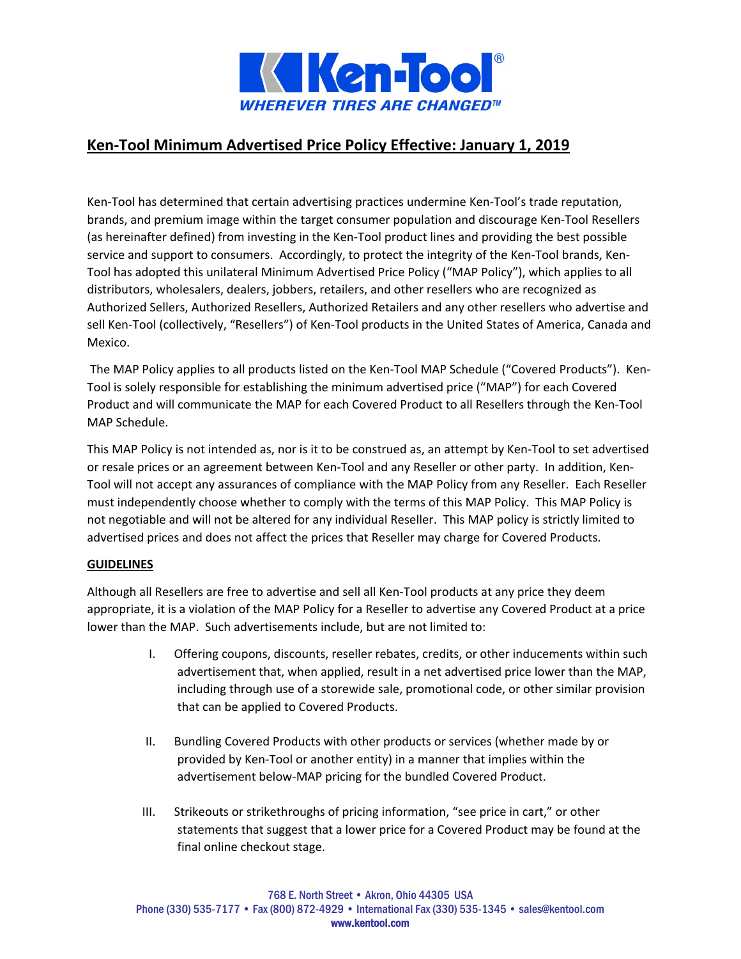

# **Ken‐Tool Minimum Advertised Price Policy Effective: January 1, 2019**

Ken‐Tool has determined that certain advertising practices undermine Ken‐Tool's trade reputation, brands, and premium image within the target consumer population and discourage Ken‐Tool Resellers (as hereinafter defined) from investing in the Ken‐Tool product lines and providing the best possible service and support to consumers. Accordingly, to protect the integrity of the Ken-Tool brands, Ken-Tool has adopted this unilateral Minimum Advertised Price Policy ("MAP Policy"), which applies to all distributors, wholesalers, dealers, jobbers, retailers, and other resellers who are recognized as Authorized Sellers, Authorized Resellers, Authorized Retailers and any other resellers who advertise and sell Ken-Tool (collectively, "Resellers") of Ken-Tool products in the United States of America, Canada and Mexico.

The MAP Policy applies to all products listed on the Ken-Tool MAP Schedule ("Covered Products"). Ken-Tool is solely responsible for establishing the minimum advertised price ("MAP") for each Covered Product and will communicate the MAP for each Covered Product to all Resellers through the Ken‐Tool MAP Schedule.

This MAP Policy is not intended as, nor is it to be construed as, an attempt by Ken‐Tool to set advertised or resale prices or an agreement between Ken‐Tool and any Reseller or other party. In addition, Ken‐ Tool will not accept any assurances of compliance with the MAP Policy from any Reseller. Each Reseller must independently choose whether to comply with the terms of this MAP Policy. This MAP Policy is not negotiable and will not be altered for any individual Reseller. This MAP policy is strictly limited to advertised prices and does not affect the prices that Reseller may charge for Covered Products.

# **GUIDELINES**

Although all Resellers are free to advertise and sell all Ken‐Tool products at any price they deem appropriate, it is a violation of the MAP Policy for a Reseller to advertise any Covered Product at a price lower than the MAP. Such advertisements include, but are not limited to:

- I. Offering coupons, discounts, reseller rebates, credits, or other inducements within such advertisement that, when applied, result in a net advertised price lower than the MAP, including through use of a storewide sale, promotional code, or other similar provision that can be applied to Covered Products.
- II. Bundling Covered Products with other products or services (whether made by or provided by Ken‐Tool or another entity) in a manner that implies within the advertisement below‐MAP pricing for the bundled Covered Product.
- III. Strikeouts or strikethroughs of pricing information, "see price in cart," or other statements that suggest that a lower price for a Covered Product may be found at the final online checkout stage.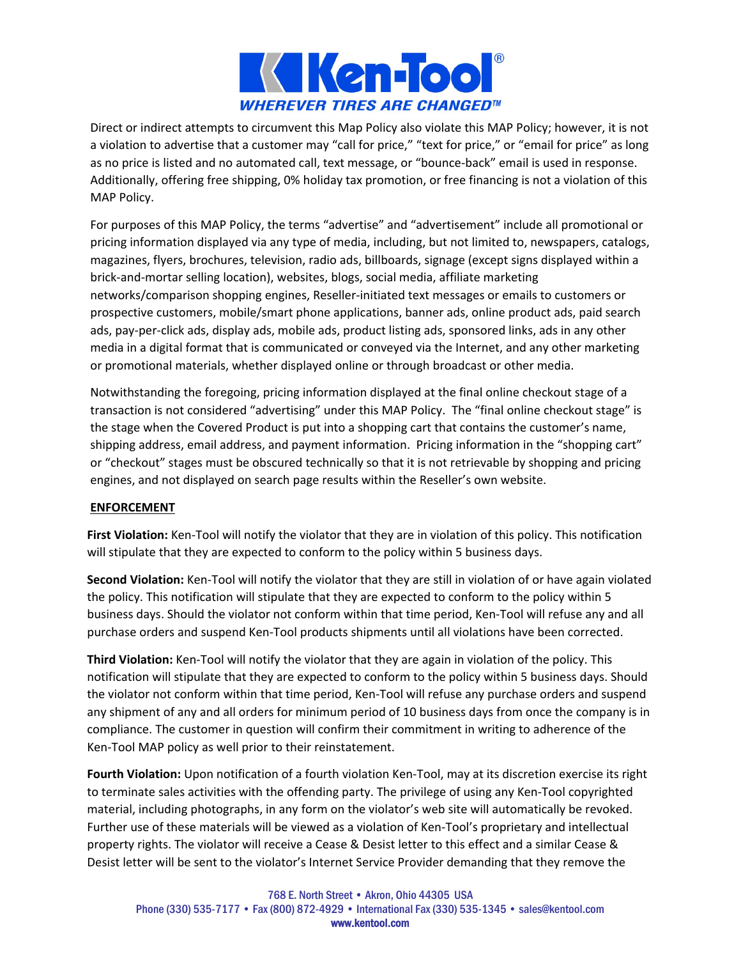

Direct or indirect attempts to circumvent this Map Policy also violate this MAP Policy; however, it is not a violation to advertise that a customer may "call for price," "text for price," or "email for price" as long as no price is listed and no automated call, text message, or "bounce‐back" email is used in response. Additionally, offering free shipping, 0% holiday tax promotion, or free financing is not a violation of this MAP Policy.

For purposes of this MAP Policy, the terms "advertise" and "advertisement" include all promotional or pricing information displayed via any type of media, including, but not limited to, newspapers, catalogs, magazines, flyers, brochures, television, radio ads, billboards, signage (except signs displayed within a brick‐and‐mortar selling location), websites, blogs, social media, affiliate marketing networks/comparison shopping engines, Reseller‐initiated text messages or emails to customers or prospective customers, mobile/smart phone applications, banner ads, online product ads, paid search ads, pay‐per‐click ads, display ads, mobile ads, product listing ads, sponsored links, ads in any other media in a digital format that is communicated or conveyed via the Internet, and any other marketing or promotional materials, whether displayed online or through broadcast or other media.

Notwithstanding the foregoing, pricing information displayed at the final online checkout stage of a transaction is not considered "advertising" under this MAP Policy. The "final online checkout stage" is the stage when the Covered Product is put into a shopping cart that contains the customer's name, shipping address, email address, and payment information. Pricing information in the "shopping cart" or "checkout" stages must be obscured technically so that it is not retrievable by shopping and pricing engines, and not displayed on search page results within the Reseller's own website.

# **ENFORCEMENT**

**First Violation:** Ken‐Tool will notify the violator that they are in violation of this policy. This notification will stipulate that they are expected to conform to the policy within 5 business days.

**Second Violation:** Ken‐Tool will notify the violator that they are still in violation of or have again violated the policy. This notification will stipulate that they are expected to conform to the policy within 5 business days. Should the violator not conform within that time period, Ken-Tool will refuse any and all purchase orders and suspend Ken‐Tool products shipments until all violations have been corrected.

**Third Violation:** Ken‐Tool will notify the violator that they are again in violation of the policy. This notification will stipulate that they are expected to conform to the policy within 5 business days. Should the violator not conform within that time period, Ken-Tool will refuse any purchase orders and suspend any shipment of any and all orders for minimum period of 10 business days from once the company is in compliance. The customer in question will confirm their commitment in writing to adherence of the Ken‐Tool MAP policy as well prior to their reinstatement.

**Fourth Violation:** Upon notification of a fourth violation Ken‐Tool, may at its discretion exercise its right to terminate sales activities with the offending party. The privilege of using any Ken‐Tool copyrighted material, including photographs, in any form on the violator's web site will automatically be revoked. Further use of these materials will be viewed as a violation of Ken‐Tool's proprietary and intellectual property rights. The violator will receive a Cease & Desist letter to this effect and a similar Cease & Desist letter will be sent to the violator's Internet Service Provider demanding that they remove the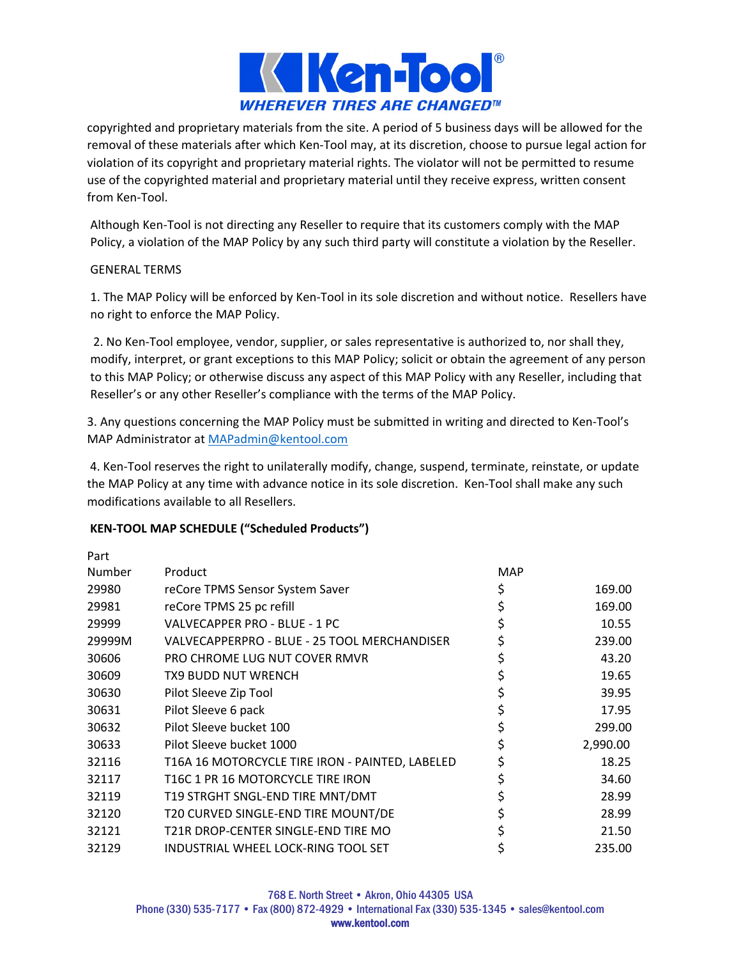

copyrighted and proprietary materials from the site. A period of 5 business days will be allowed for the removal of these materials after which Ken‐Tool may, at its discretion, choose to pursue legal action for violation of its copyright and proprietary material rights. The violator will not be permitted to resume use of the copyrighted material and proprietary material until they receive express, written consent from Ken‐Tool.

Although Ken‐Tool is not directing any Reseller to require that its customers comply with the MAP Policy, a violation of the MAP Policy by any such third party will constitute a violation by the Reseller.

# GENERAL TERMS

1. The MAP Policy will be enforced by Ken‐Tool in its sole discretion and without notice. Resellers have no right to enforce the MAP Policy.

2. No Ken‐Tool employee, vendor, supplier, or sales representative is authorized to, nor shall they, modify, interpret, or grant exceptions to this MAP Policy; solicit or obtain the agreement of any person to this MAP Policy; or otherwise discuss any aspect of this MAP Policy with any Reseller, including that Reseller's or any other Reseller's compliance with the terms of the MAP Policy.

3. Any questions concerning the MAP Policy must be submitted in writing and directed to Ken-Tool's MAP Administrator at MAPadmin@kentool.com

4. Ken‐Tool reserves the right to unilaterally modify, change, suspend, terminate, reinstate, or update the MAP Policy at any time with advance notice in its sole discretion. Ken‐Tool shall make any such modifications available to all Resellers.

# **KEN‐TOOL MAP SCHEDULE ("Scheduled Products")**

| Part   |                                                 |            |          |
|--------|-------------------------------------------------|------------|----------|
| Number | Product                                         | <b>MAP</b> |          |
| 29980  | reCore TPMS Sensor System Saver                 | \$         | 169.00   |
| 29981  | reCore TPMS 25 pc refill                        |            | 169.00   |
| 29999  | VALVECAPPER PRO - BLUE - 1 PC                   |            | 10.55    |
| 29999M | VALVECAPPERPRO - BLUE - 25 TOOL MERCHANDISER    | \$         | 239.00   |
| 30606  | PRO CHROME LUG NUT COVER RMVR                   | \$         | 43.20    |
| 30609  | TX9 BUDD NUT WRENCH                             |            | 19.65    |
| 30630  | Pilot Sleeve Zip Tool                           | \$         | 39.95    |
| 30631  | Pilot Sleeve 6 pack                             |            | 17.95    |
| 30632  | Pilot Sleeve bucket 100                         |            | 299.00   |
| 30633  | Pilot Sleeve bucket 1000                        | \$         | 2,990.00 |
| 32116  | T16A 16 MOTORCYCLE TIRE IRON - PAINTED, LABELED |            | 18.25    |
| 32117  | T16C 1 PR 16 MOTORCYCLE TIRE IRON               | \$         | 34.60    |
| 32119  | T19 STRGHT SNGL-END TIRE MNT/DMT                |            | 28.99    |
| 32120  | T20 CURVED SINGLE-END TIRE MOUNT/DE             |            | 28.99    |
| 32121  | T21R DROP-CENTER SINGLE-END TIRE MO             |            | 21.50    |
| 32129  | INDUSTRIAL WHEEL LOCK-RING TOOL SET             |            | 235.00   |